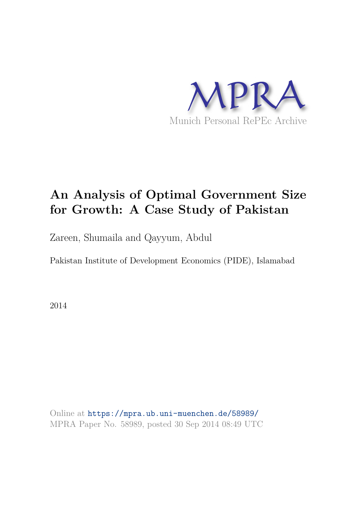

# **An Analysis of Optimal Government Size for Growth: A Case Study of Pakistan**

Zareen, Shumaila and Qayyum, Abdul

Pakistan Institute of Development Economics (PIDE), Islamabad

2014

Online at https://mpra.ub.uni-muenchen.de/58989/ MPRA Paper No. 58989, posted 30 Sep 2014 08:49 UTC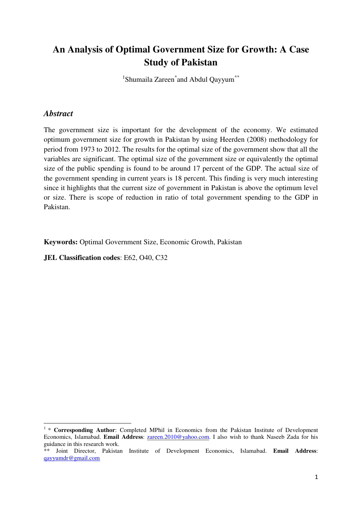# **An Analysis of Optimal Government Size for Growth: A Case Study of Pakistan**

<sup>1</sup>Shumaila Zareen<sup>\*</sup>and Abdul Qayyum<sup>\*\*</sup>

### *Abstract*

<u>.</u>

The government size is important for the development of the economy. We estimated optimum government size for growth in Pakistan by using Heerden (2008) methodology for period from 1973 to 2012. The results for the optimal size of the government show that all the variables are significant. The optimal size of the government size or equivalently the optimal size of the public spending is found to be around 17 percent of the GDP. The actual size of the government spending in current years is 18 percent. This finding is very much interesting since it highlights that the current size of government in Pakistan is above the optimum level or size. There is scope of reduction in ratio of total government spending to the GDP in Pakistan.

**Keywords:** Optimal Government Size, Economic Growth, Pakistan

**JEL Classification codes**: E62, O40, C32

<sup>&</sup>lt;sup>1</sup> \* **Corresponding Author**: Completed MPhil in Economics from the Pakistan Institute of Development Economics, Islamabad. **Email Address**: [zareen.2010@yahoo.com.](mailto:zareen.2010@yahoo.com) I also wish to thank Naseeb Zada for his guidance in this research work.

<sup>\*\*</sup> Joint Director, Pakistan Institute of Development Economics, Islamabad. **Email Address**: [qayyumdr@gmail.com](mailto:qayyumdr@gmail.com)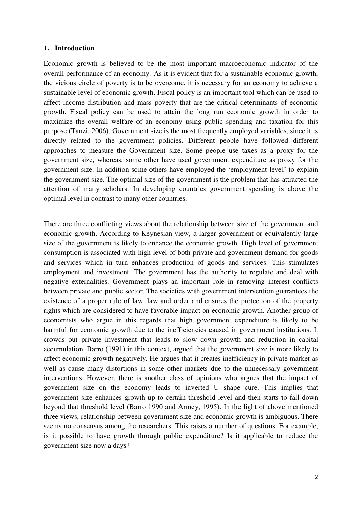#### **1. Introduction**

Economic growth is believed to be the most important macroeconomic indicator of the overall performance of an economy. As it is evident that for a sustainable economic growth, the vicious circle of poverty is to be overcome, it is necessary for an economy to achieve a sustainable level of economic growth. Fiscal policy is an important tool which can be used to affect income distribution and mass poverty that are the critical determinants of economic growth. Fiscal policy can be used to attain the long run economic growth in order to maximize the overall welfare of an economy using public spending and taxation for this purpose (Tanzi, 2006). Government size is the most frequently employed variables, since it is directly related to the government policies. Different people have followed different approaches to measure the Government size. Some people use taxes as a proxy for the government size, whereas, some other have used government expenditure as proxy for the government size. In addition some others have employed the "employment level" to explain the government size. The optimal size of the government is the problem that has attracted the attention of many scholars. In developing countries government spending is above the optimal level in contrast to many other countries.

There are three conflicting views about the relationship between size of the government and economic growth. According to Keynesian view, a larger government or equivalently large size of the government is likely to enhance the economic growth. High level of government consumption is associated with high level of both private and government demand for goods and services which in turn enhances production of goods and services. This stimulates employment and investment. The government has the authority to regulate and deal with negative externalities. Government plays an important role in removing interest conflicts between private and public sector. The societies with government intervention guarantees the existence of a proper rule of law, law and order and ensures the protection of the property rights which are considered to have favorable impact on economic growth. Another group of economists who argue in this regards that high government expenditure is likely to be harmful for economic growth due to the inefficiencies caused in government institutions. It crowds out private investment that leads to slow down growth and reduction in capital accumulation. Barro (1991) in this context, argued that the government size is more likely to affect economic growth negatively. He argues that it creates inefficiency in private market as well as cause many distortions in some other markets due to the unnecessary government interventions. However, there is another class of opinions who argues that the impact of government size on the economy leads to inverted U shape cure. This implies that government size enhances growth up to certain threshold level and then starts to fall down beyond that threshold level (Barro 1990 and Armey, 1995). In the light of above mentioned three views, relationship between government size and economic growth is ambiguous. There seems no consensus among the researchers. This raises a number of questions. For example, is it possible to have growth through public expenditure? Is it applicable to reduce the government size now a days?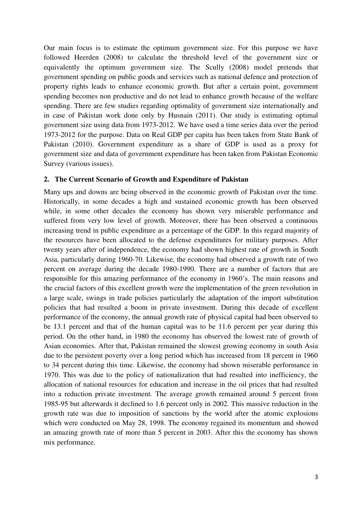Our main focus is to estimate the optimum government size. For this purpose we have followed Heerden (2008) to calculate the threshold level of the government size or equivalently the optimum government size. The Scully (2008) model pretends that government spending on public goods and services such as national defence and protection of property rights leads to enhance economic growth. But after a certain point, government spending becomes non productive and do not lead to enhance growth because of the welfare spending. There are few studies regarding optimality of government size internationally and in case of Pakistan work done only by Husnain (2011). Our study is estimating optimal government size using data from 1973-2012. We have used a time series data over the period 1973-2012 for the purpose. Data on Real GDP per capita has been taken from State Bank of Pakistan (2010). Government expenditure as a share of GDP is used as a proxy for government size and data of government expenditure has been taken from Pakistan Economic Survey (various issues).

#### **2. The Current Scenario of Growth and Expenditure of Pakistan**

Many ups and downs are being observed in the economic growth of Pakistan over the time. Historically, in some decades a high and sustained economic growth has been observed while, in some other decades the economy has shown very miserable performance and suffered from very low level of growth. Moreover, there has been observed a continuous increasing trend in public expenditure as a percentage of the GDP. In this regard majority of the resources have been allocated to the defense expenditures for military purposes. After twenty years after of independence, the economy had shown highest rate of growth in South Asia, particularly during 1960-70. Likewise, the economy had observed a growth rate of two percent on average during the decade 1980-1990. There are a number of factors that are responsible for this amazing performance of the economy in 1960"s. The main reasons and the crucial factors of this excellent growth were the implementation of the green revolution in a large scale, swings in trade policies particularly the adaptation of the import substitution policies that had resulted a boom in private investment. During this decade of excellent performance of the economy, the annual growth rate of physical capital had been observed to be 13.1 percent and that of the human capital was to be 11.6 percent per year during this period. On the other hand, in 1980 the economy has observed the lowest rate of growth of Asian economies. After that, Pakistan remained the slowest growing economy in south Asia due to the persistent poverty over a long period which has increased from 18 percent in 1960 to 34 percent during this time. Likewise, the economy had shown miserable performance in 1970. This was due to the policy of nationalization that had resulted into inefficiency, the allocation of national resources for education and increase in the oil prices that had resulted into a reduction private investment. The average growth remained around 5 percent from 1985-95 but afterwards it declined to 1.6 percent only in 2002. This massive reduction in the growth rate was due to imposition of sanctions by the world after the atomic explosions which were conducted on May 28, 1998. The economy regained its momentum and showed an amazing growth rate of more than 5 percent in 2003. After this the economy has shown mix performance.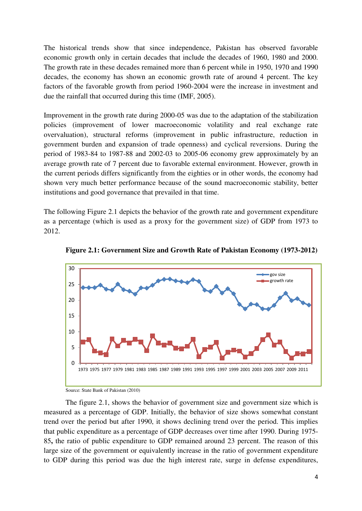The historical trends show that since independence, Pakistan has observed favorable economic growth only in certain decades that include the decades of 1960, 1980 and 2000. The growth rate in these decades remained more than 6 percent while in 1950, 1970 and 1990 decades, the economy has shown an economic growth rate of around 4 percent. The key factors of the favorable growth from period 1960-2004 were the increase in investment and due the rainfall that occurred during this time (IMF, 2005).

Improvement in the growth rate during 2000-05 was due to the adaptation of the stabilization policies (improvement of lower macroeconomic volatility and real exchange rate overvaluation), structural reforms (improvement in public infrastructure, reduction in government burden and expansion of trade openness) and cyclical reversions. During the period of 1983-84 to 1987-88 and 2002-03 to 2005-06 economy grew approximately by an average growth rate of 7 percent due to favorable external environment. However, growth in the current periods differs significantly from the eighties or in other words, the economy had shown very much better performance because of the sound macroeconomic stability, better institutions and good governance that prevailed in that time.

The following Figure 2.1 depicts the behavior of the growth rate and government expenditure as a percentage (which is used as a proxy for the government size) of GDP from 1973 to 2012.



**Figure 2.1: Government Size and Growth Rate of Pakistan Economy (1973-2012)** 

Source: State Bank of Pakistan (2010)

The figure 2.1, shows the behavior of government size and government size which is measured as a percentage of GDP. Initially, the behavior of size shows somewhat constant trend over the period but after 1990, it shows declining trend over the period. This implies that public expenditure as a percentage of GDP decreases over time after 1990. During 1975- 85**,** the ratio of public expenditure to GDP remained around 23 percent. The reason of this large size of the government or equivalently increase in the ratio of government expenditure to GDP during this period was due the high interest rate, surge in defense expenditures,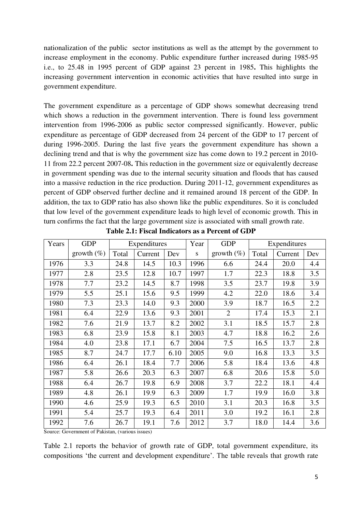nationalization of the public sector institutions as well as the attempt by the government to increase employment in the economy. Public expenditure further increased during 1985-95 i.e., to 25.48 in 1995 percent of GDP against 23 percent in 1985**.** This highlights the increasing government intervention in economic activities that have resulted into surge in government expenditure.

The government expenditure as a percentage of GDP shows somewhat decreasing trend which shows a reduction in the government intervention. There is found less government intervention from 1996-2006 as public sector compressed significantly. However, public expenditure as percentage of GDP decreased from 24 percent of the GDP to 17 percent of during 1996-2005. During the last five years the government expenditure has shown a declining trend and that is why the government size has come down to 19.2 percent in 2010- 11 from 22.2 percent 2007-08**.** This reduction in the government size or equivalently decrease in government spending was due to the internal security situation and floods that has caused into a massive reduction in the rice production. During 2011-12, government expenditures as percent of GDP observed further decline and it remained around 18 percent of the GDP. In addition, the tax to GDP ratio has also shown like the public expenditures. So it is concluded that low level of the government expenditure leads to high level of economic growth. This in turn confirms the fact that the large government size is associated with small growth rate.

| Years | <b>GDP</b>    | Expenditures |         |      | Year | <b>GDP</b>     | Expenditures |         |     |
|-------|---------------|--------------|---------|------|------|----------------|--------------|---------|-----|
|       | growth $(\%)$ | Total        | Current | Dev  | S    | growth $(\%)$  | Total        | Current | Dev |
| 1976  | 3.3           | 24.8         | 14.5    | 10.3 | 1996 | 6.6            | 24.4         | 20.0    | 4.4 |
| 1977  | 2.8           | 23.5         | 12.8    | 10.7 | 1997 | 1.7            | 22.3         | 18.8    | 3.5 |
| 1978  | 7.7           | 23.2         | 14.5    | 8.7  | 1998 | 3.5            | 23.7         | 19.8    | 3.9 |
| 1979  | 5.5           | 25.1         | 15.6    | 9.5  | 1999 | 4.2            | 22.0         | 18.6    | 3.4 |
| 1980  | 7.3           | 23.3         | 14.0    | 9.3  | 2000 | 3.9            | 18.7         | 16.5    | 2.2 |
| 1981  | 6.4           | 22.9         | 13.6    | 9.3  | 2001 | $\overline{2}$ | 17.4         | 15.3    | 2.1 |
| 1982  | 7.6           | 21.9         | 13.7    | 8.2  | 2002 | 3.1            | 18.5         | 15.7    | 2.8 |
| 1983  | 6.8           | 23.9         | 15.8    | 8.1  | 2003 | 4.7            | 18.8         | 16.2    | 2.6 |
| 1984  | 4.0           | 23.8         | 17.1    | 6.7  | 2004 | 7.5            | 16.5         | 13.7    | 2.8 |
| 1985  | 8.7           | 24.7         | 17.7    | 6.10 | 2005 | 9.0            | 16.8         | 13.3    | 3.5 |
| 1986  | 6.4           | 26.1         | 18.4    | 7.7  | 2006 | 5.8            | 18.4         | 13.6    | 4.8 |
| 1987  | 5.8           | 26.6         | 20.3    | 6.3  | 2007 | 6.8            | 20.6         | 15.8    | 5.0 |
| 1988  | 6.4           | 26.7         | 19.8    | 6.9  | 2008 | 3.7            | 22.2         | 18.1    | 4.4 |
| 1989  | 4.8           | 26.1         | 19.9    | 6.3  | 2009 | 1.7            | 19.9         | 16.0    | 3.8 |
| 1990  | 4.6           | 25.9         | 19.3    | 6.5  | 2010 | 3.1            | 20.3         | 16.8    | 3.5 |
| 1991  | 5.4           | 25.7         | 19.3    | 6.4  | 2011 | 3.0            | 19.2         | 16.1    | 2.8 |
| 1992  | 7.6           | 26.7         | 19.1    | 7.6  | 2012 | 3.7            | 18.0         | 14.4    | 3.6 |

**Table 2.1: Fiscal Indicators as a Percent of GDP** 

Source: Government of Pakistan, (various issues)

Table 2.1 reports the behavior of growth rate of GDP, total government expenditure, its compositions "the current and development expenditure". The table reveals that growth rate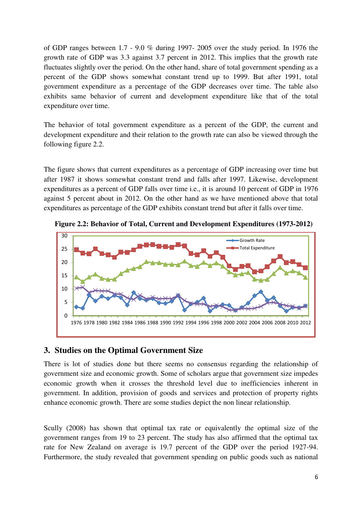of GDP ranges between 1.7 - 9.0 % during 1997- 2005 over the study period. In 1976 the growth rate of GDP was 3.3 against 3.7 percent in 2012. This implies that the growth rate fluctuates slightly over the period. On the other hand, share of total government spending as a percent of the GDP shows somewhat constant trend up to 1999. But after 1991, total government expenditure as a percentage of the GDP decreases over time. The table also exhibits same behavior of current and development expenditure like that of the total expenditure over time.

The behavior of total government expenditure as a percent of the GDP, the current and development expenditure and their relation to the growth rate can also be viewed through the following figure 2.2.

The figure shows that current expenditures as a percentage of GDP increasing over time but after 1987 it shows somewhat constant trend and falls after 1997. Likewise, development expenditures as a percent of GDP falls over time i.e., it is around 10 percent of GDP in 1976 against 5 percent about in 2012. On the other hand as we have mentioned above that total expenditures as percentage of the GDP exhibits constant trend but after it falls over time.



**Figure 2.2: Behavior of Total, Current and Development Expenditures (1973-2012)** 

# **3. Studies on the Optimal Government Size**

There is lot of studies done but there seems no consensus regarding the relationship of government size and economic growth. Some of scholars argue that government size impedes economic growth when it crosses the threshold level due to inefficiencies inherent in government. In addition, provision of goods and services and protection of property rights enhance economic growth. There are some studies depict the non linear relationship.

Scully (2008) has shown that optimal tax rate or equivalently the optimal size of the government ranges from 19 to 23 percent. The study has also affirmed that the optimal tax rate for New Zealand on average is 19.7 percent of the GDP over the period 1927-94. Furthermore, the study revealed that government spending on public goods such as national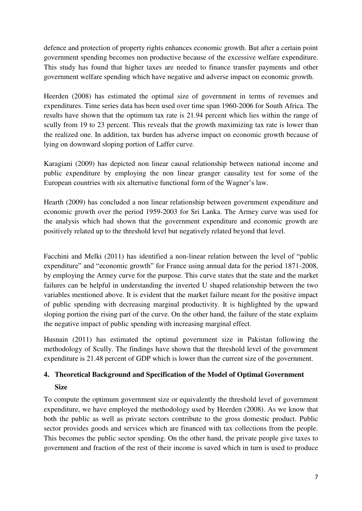defence and protection of property rights enhances economic growth. But after a certain point government spending becomes non productive because of the excessive welfare expenditure. This study has found that higher taxes are needed to finance transfer payments and other government welfare spending which have negative and adverse impact on economic growth.

Heerden (2008) has estimated the optimal size of government in terms of revenues and expenditures. Time series data has been used over time span 1960-2006 for South Africa. The results have shown that the optimum tax rate is 21.94 percent which lies within the range of scully from 19 to 23 percent. This reveals that the growth maximizing tax rate is lower than the realized one. In addition, tax burden has adverse impact on economic growth because of lying on downward sloping portion of Laffer curve.

Karagiani (2009) has depicted non linear causal relationship between national income and public expenditure by employing the non linear granger causality test for some of the European countries with six alternative functional form of the Wagner's law.

Hearth (2009) has concluded a non linear relationship between government expenditure and economic growth over the period 1959-2003 for Sri Lanka. The Armey curve was used for the analysis which had shown that the government expenditure and economic growth are positively related up to the threshold level but negatively related beyond that level.

Facchini and Melki (2011) has identified a non-linear relation between the level of "public expenditure" and "economic growth" for France using annual data for the period 1871-2008, by employing the Armey curve for the purpose. This curve states that the state and the market failures can be helpful in understanding the inverted U shaped relationship between the two variables mentioned above. It is evident that the market failure meant for the positive impact of public spending with decreasing marginal productivity. It is highlighted by the upward sloping portion the rising part of the curve. On the other hand, the failure of the state explains the negative impact of public spending with increasing marginal effect.

Husnain (2011) has estimated the optimal government size in Pakistan following the methodology of Scully. The findings have shown that the threshold level of the government expenditure is 21.48 percent of GDP which is lower than the current size of the government.

# **4. Theoretical Background and Specification of the Model of Optimal Government Size**

To compute the optimum government size or equivalently the threshold level of government expenditure, we have employed the methodology used by Heerden (2008). As we know that both the public as well as private sectors contribute to the gross domestic product. Public sector provides goods and services which are financed with tax collections from the people. This becomes the public sector spending. On the other hand, the private people give taxes to government and fraction of the rest of their income is saved which in turn is used to produce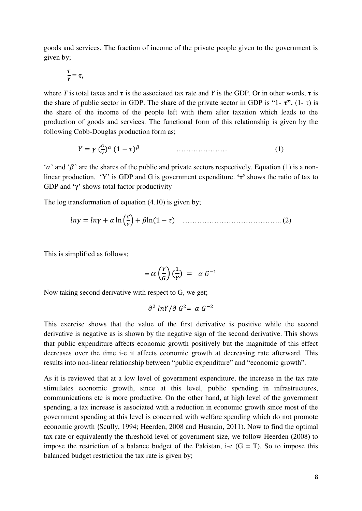goods and services. The fraction of income of the private people given to the government is given by;

$$
\frac{T}{Y} = \tau,
$$

where *T* is total taxes and  $\tau$  is the associated tax rate and *Y* is the GDP. Or in other words,  $\tau$  is the share of public sector in GDP. The share of the private sector in GDP is "1- $\tau$ ".  $(1-\tau)$  is the share of the income of the people left with them after taxation which leads to the production of goods and services. The functional form of this relationship is given by the following Cobb-Douglas production form as;

$$
Y = \gamma \left(\frac{a}{\gamma}\right)^{\alpha} (1 - \tau)^{\beta} \tag{1}
$$

" $\alpha$ " and " $\beta$ " are the shares of the public and private sectors respectively. Equation (1) is a nonlinear production. "Y" is GDP and G is government expenditure. **'τ'** shows the ratio of tax to GDP and **'γ'** shows total factor productivity

The log transformation of equation (4.10) is given by;

 ( ) ………………………………….. (2)

This is simplified as follows;

$$
= \alpha \left(\frac{Y}{G}\right) \left(\frac{1}{Y}\right) = \alpha G^{-1}
$$

Now taking second derivative with respect to G, we get;

$$
\partial^2 lnY / \partial G^2 = -\alpha G^{-2}
$$

This exercise shows that the value of the first derivative is positive while the second derivative is negative as is shown by the negative sign of the second derivative. This shows that public expenditure affects economic growth positively but the magnitude of this effect decreases over the time i-e it affects economic growth at decreasing rate afterward. This results into non-linear relationship between "public expenditure" and "economic growth".

As it is reviewed that at a low level of government expenditure, the increase in the tax rate stimulates economic growth, since at this level, public spending in infrastructures, communications etc is more productive. On the other hand, at high level of the government spending, a tax increase is associated with a reduction in economic growth since most of the government spending at this level is concerned with welfare spending which do not promote economic growth (Scully, 1994; Heerden, 2008 and Husnain, 2011). Now to find the optimal tax rate or equivalently the threshold level of government size, we follow Heerden (2008) to impose the restriction of a balance budget of the Pakistan, i-e  $(G = T)$ . So to impose this balanced budget restriction the tax rate is given by;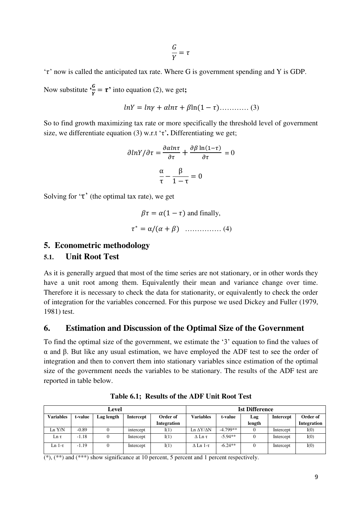$$
\frac{G}{Y} = \tau
$$

 $\tau$  now is called the anticipated tax rate. Where G is government spending and Y is GDP.

Now substitute **'**  $\frac{d}{dt} = \tau'$  into equation (2), we get;

$$
lnY = ln\gamma + \alpha ln\tau + \beta ln(1 - \tau) \dots \dots \dots \dots \dots (3)
$$

So to find growth maximizing tax rate or more specifically the threshold level of government size, we differentiate equation (3) w.r.t 'τ'. Differentiating we get;

$$
\frac{\partial \ln Y}{\partial \tau} = \frac{\partial \alpha \ln \tau}{\partial \tau} + \frac{\partial \beta \ln(1-\tau)}{\partial \tau} = 0
$$

$$
\frac{\alpha}{\tau} - \frac{\beta}{1-\tau} = 0
$$

Solving for  $\tau$ <sup>'</sup> (the optimal tax rate), we get

$$
\beta \tau = \alpha (1 - \tau) \text{ and finally,}
$$

$$
\tau^* = \alpha / (\alpha + \beta) \quad \dots \quad (4)
$$

### **5. Econometric methodology**

### **5.1. Unit Root Test**

As it is generally argued that most of the time series are not stationary, or in other words they have a unit root among them. Equivalently their mean and variance change over time. Therefore it is necessary to check the data for stationarity, or equivalently to check the order of integration for the variables concerned. For this purpose we used Dickey and Fuller (1979, 1981) test.

#### **6. Estimation and Discussion of the Optimal Size of the Government**

To find the optimal size of the government, we estimate the "3" equation to find the values of α and β. But like any usual estimation, we have employed the ADF test to see the order of integration and then to convert them into stationary variables since estimation of the optimal size of the government needs the variables to be stationary. The results of the ADF test are reported in table below.

| Level            |         |            |           |             | <b>Ist Difference</b>  |            |        |           |             |  |
|------------------|---------|------------|-----------|-------------|------------------------|------------|--------|-----------|-------------|--|
| <b>Variables</b> | t-value | Lag length | Intercept | Order of    | <b>Variables</b>       | t-value    | Lag    | Intercept | Order of    |  |
|                  |         |            |           | Integration |                        |            | length |           | Integration |  |
| Ln Y/N           | $-0.89$ |            | intercept | I(1)        | Ln $\Delta Y/\Delta N$ | $-4.799**$ | 0      | Intercept | I(0)        |  |
| Lnτ              | $-1.18$ |            | Intercept | I(1)        | $\Delta$ Ln $\tau$     | $-5.94**$  | 0      | Intercept | I(0)        |  |
| Ln 1-τ           | $-1.19$ |            | Intercept | I(1)        | $\Delta$ Ln 1- $\tau$  | $-6.24**$  | 0      | Intercept | I(0)        |  |

**Table 6.1; Results of the ADF Unit Root Test** 

 $(*),$   $(**)$  and  $(***)$  show significance at 10 percent, 5 percent and 1 percent respectively.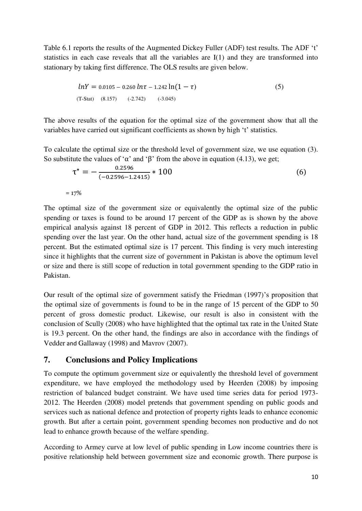Table 6.1 reports the results of the Augmented Dickey Fuller (ADF) test results. The ADF 't' statistics in each case reveals that all the variables are I(1) and they are transformed into stationary by taking first difference. The OLS results are given below.

$$
lnY = 0.0105 - 0.260 ln\tau - 1.242 ln(1 - \tau)
$$
\n(T-Stat) (8.157) (-2.742) (-3.045)

The above results of the equation for the optimal size of the government show that all the variables have carried out significant coefficients as shown by high 't' statistics.

To calculate the optimal size or the threshold level of government size, we use equation (3). So substitute the values of ' $\alpha$ ' and ' $\beta$ ' from the above in equation (4.13), we get;

$$
\tau^* = -\frac{0.2596}{(-0.2596 - 1.2415)} * 100
$$
 (6)

 $= 17%$ 

The optimal size of the government size or equivalently the optimal size of the public spending or taxes is found to be around 17 percent of the GDP as is shown by the above empirical analysis against 18 percent of GDP in 2012. This reflects a reduction in public spending over the last year. On the other hand, actual size of the government spending is 18 percent. But the estimated optimal size is 17 percent. This finding is very much interesting since it highlights that the current size of government in Pakistan is above the optimum level or size and there is still scope of reduction in total government spending to the GDP ratio in Pakistan.

Our result of the optimal size of government satisfy the Friedman (1997)"s proposition that the optimal size of governments is found to be in the range of 15 percent of the GDP to 50 percent of gross domestic product. Likewise, our result is also in consistent with the conclusion of Scully (2008) who have highlighted that the optimal tax rate in the United State is 19.3 percent. On the other hand, the findings are also in accordance with the findings of Vedder and Gallaway (1998) and Mavrov (2007).

### **7. Conclusions and Policy Implications**

To compute the optimum government size or equivalently the threshold level of government expenditure, we have employed the methodology used by Heerden (2008) by imposing restriction of balanced budget constraint. We have used time series data for period 1973- 2012. The Heerden (2008) model pretends that government spending on public goods and services such as national defence and protection of property rights leads to enhance economic growth. But after a certain point, government spending becomes non productive and do not lead to enhance growth because of the welfare spending.

According to Armey curve at low level of public spending in Low income countries there is positive relationship held between government size and economic growth. There purpose is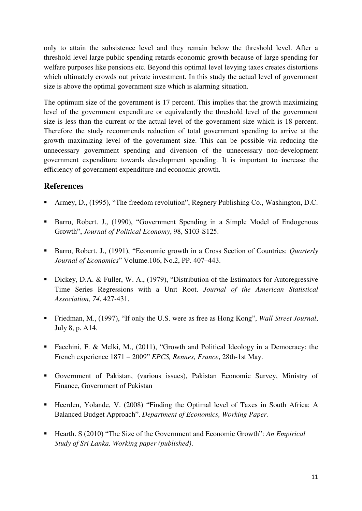only to attain the subsistence level and they remain below the threshold level. After a threshold level large public spending retards economic growth because of large spending for welfare purposes like pensions etc. Beyond this optimal level levying taxes creates distortions which ultimately crowds out private investment. In this study the actual level of government size is above the optimal government size which is alarming situation.

The optimum size of the government is 17 percent. This implies that the growth maximizing level of the government expenditure or equivalently the threshold level of the government size is less than the current or the actual level of the government size which is 18 percent. Therefore the study recommends reduction of total government spending to arrive at the growth maximizing level of the government size. This can be possible via reducing the unnecessary government spending and diversion of the unnecessary non-development government expenditure towards development spending. It is important to increase the efficiency of government expenditure and economic growth.

## **References**

- Armey, D., (1995), "The freedom revolution", Regnery Publishing Co., Washington, D.C.
- Barro, Robert. J., (1990), "Government Spending in a Simple Model of Endogenous Growth", *Journal of Political Economy*, 98, S103-S125.
- Barro, Robert. J., (1991), "Economic growth in a Cross Section of Countries: *Quarterly Journal of Economics*" Volume.106, No.2, PP. 407–443.
- Dickey, D.A. & Fuller, W. A., (1979), "Distribution of the Estimators for Autoregressive Time Series Regressions with a Unit Root. *Journal of the American Statistical Association, 74*, 427-431.
- Friedman, M., (1997), "If only the U.S. were as free as Hong Kong", *Wall Street Journal*, July 8, p. A14.
- Facchini, F. & Melki, M., (2011), "Growth and Political Ideology in a Democracy: the French experience 1871 – 2009" *EPCS, Rennes, France*, 28th-1st May.
- Government of Pakistan, (various issues), Pakistan Economic Survey, Ministry of Finance, Government of Pakistan
- Heerden, Yolande, V. (2008) "Finding the Optimal level of Taxes in South Africa: A Balanced Budget Approach". *Department of Economics, Working Paper.*
- Hearth. S (2010) "The Size of the Government and Economic Growth": *An Empirical Study of Sri Lanka, Working paper (published)*.